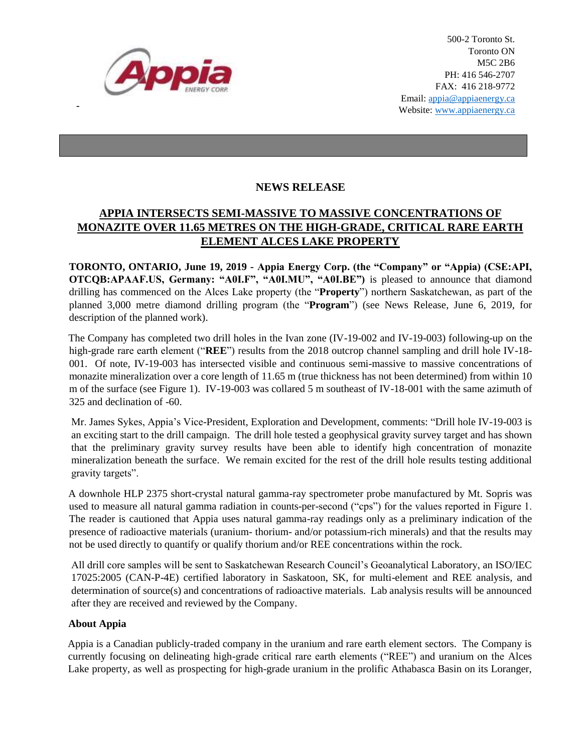

-

500-2 Toronto St. Toronto ON M5C 2B6 PH: 416 546-2707 FAX: 416 218-9772 Email: appia@appiaenergy.ca Website: www.appiaenergy.ca

## **NEWS RELEASE**

## **APPIA INTERSECTS SEMI-MASSIVE TO MASSIVE CONCENTRATIONS OF MONAZITE OVER 11.65 METRES ON THE HIGH-GRADE, CRITICAL RARE EARTH ELEMENT ALCES LAKE PROPERTY**

**TORONTO, ONTARIO, June 19, 2019 - Appia Energy Corp. (the "Company" or "Appia) (CSE:API, OTCQB:APAAF.US, Germany: "A0I.F", "A0I.MU", "A0I.BE")** is pleased to announce that diamond drilling has commenced on the Alces Lake property (the "**Property**") northern Saskatchewan, as part of the planned 3,000 metre diamond drilling program (the "**Program**") (see News Release, June 6, 2019, for description of the planned work).

The Company has completed two drill holes in the Ivan zone (IV-19-002 and IV-19-003) following-up on the high-grade rare earth element ("**REE**") results from the 2018 outcrop channel sampling and drill hole IV-18- 001. Of note, IV-19-003 has intersected visible and continuous semi-massive to massive concentrations of monazite mineralization over a core length of 11.65 m (true thickness has not been determined) from within 10 m of the surface (see Figure 1). IV-19-003 was collared 5 m southeast of IV-18-001 with the same azimuth of 325 and declination of -60.

Mr. James Sykes, Appia's Vice-President, Exploration and Development, comments: "Drill hole IV-19-003 is an exciting start to the drill campaign. The drill hole tested a geophysical gravity survey target and has shown that the preliminary gravity survey results have been able to identify high concentration of monazite mineralization beneath the surface. We remain excited for the rest of the drill hole results testing additional gravity targets".

A downhole HLP 2375 short-crystal natural gamma-ray spectrometer probe manufactured by Mt. Sopris was used to measure all natural gamma radiation in counts-per-second ("cps") for the values reported in Figure 1. The reader is cautioned that Appia uses natural gamma-ray readings only as a preliminary indication of the presence of radioactive materials (uranium- thorium- and/or potassium-rich minerals) and that the results may not be used directly to quantify or qualify thorium and/or REE concentrations within the rock.

All drill core samples will be sent to Saskatchewan Research Council's Geoanalytical Laboratory, an ISO/IEC 17025:2005 (CAN-P-4E) certified laboratory in Saskatoon, SK, for multi-element and REE analysis, and determination of source(s) and concentrations of radioactive materials. Lab analysis results will be announced after they are received and reviewed by the Company.

## **About Appia**

Appia is a Canadian publicly-traded company in the uranium and rare earth element sectors. The Company is currently focusing on delineating high-grade critical rare earth elements ("REE") and uranium on the Alces Lake property, as well as prospecting for high-grade uranium in the prolific Athabasca Basin on its Loranger,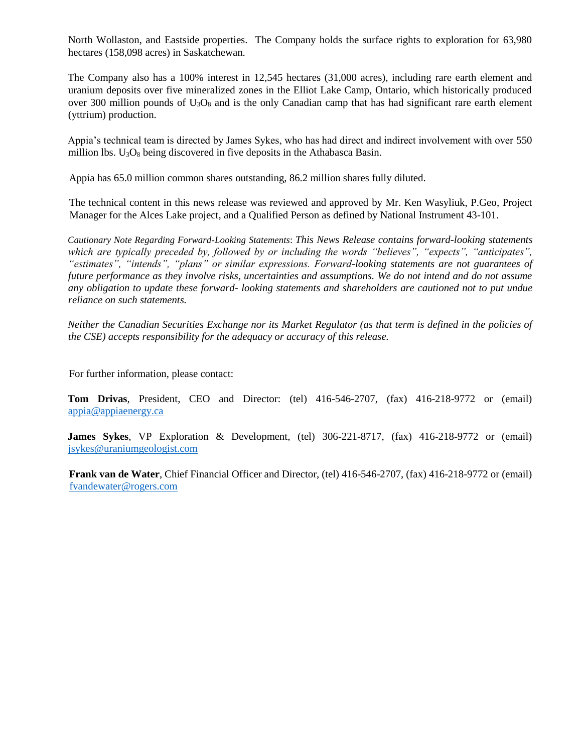North Wollaston, and Eastside properties. The Company holds the surface rights to exploration for 63,980 hectares (158,098 acres) in Saskatchewan.

The Company also has a 100% interest in 12,545 hectares (31,000 acres), including rare earth element and uranium deposits over five mineralized zones in the Elliot Lake Camp, Ontario, which historically produced over 300 million pounds of  $U_3O_8$  and is the only Canadian camp that has had significant rare earth element (yttrium) production.

Appia's technical team is directed by James Sykes, who has had direct and indirect involvement with over 550 million lbs.  $U_3O_8$  being discovered in five deposits in the Athabasca Basin.

Appia has 65.0 million common shares outstanding, 86.2 million shares fully diluted.

The technical content in this news release was reviewed and approved by Mr. Ken Wasyliuk, P.Geo, Project Manager for the Alces Lake project, and a Qualified Person as defined by National Instrument 43-101.

*Cautionary Note Regarding Forward-Looking Statements*: *This News Release contains forward-looking statements which are typically preceded by, followed by or including the words "believes", "expects", "anticipates", "estimates", "intends", "plans" or similar expressions. Forward-looking statements are not guarantees of future performance as they involve risks, uncertainties and assumptions. We do not intend and do not assume any obligation to update these forward- looking statements and shareholders are cautioned not to put undue reliance on such statements.* 

*Neither the Canadian Securities Exchange nor its Market Regulator (as that term is defined in the policies of the CSE) accepts responsibility for the adequacy or accuracy of this release.* 

For further information, please contact:

**Tom Drivas**, President, CEO and Director: (tel) 416-546-2707, (fax) 416-218-9772 or (email) [appia@appiaenergy.ca](mailto:appia@appiaenergy.ca) 

**James Sykes**, VP Exploration & Development, (tel) 306-221-8717, (fax) 416-218-9772 or (email) [jsykes@uraniumgeologist.com](mailto:jsykes@uraniumgeologist.com) 

**Frank van de Water**, Chief Financial Officer and Director, (tel) 416-546-2707, (fax) 416-218-9772 or (email) [fvandewater@rogers.com](mailto:fvandewater@rogers.com)